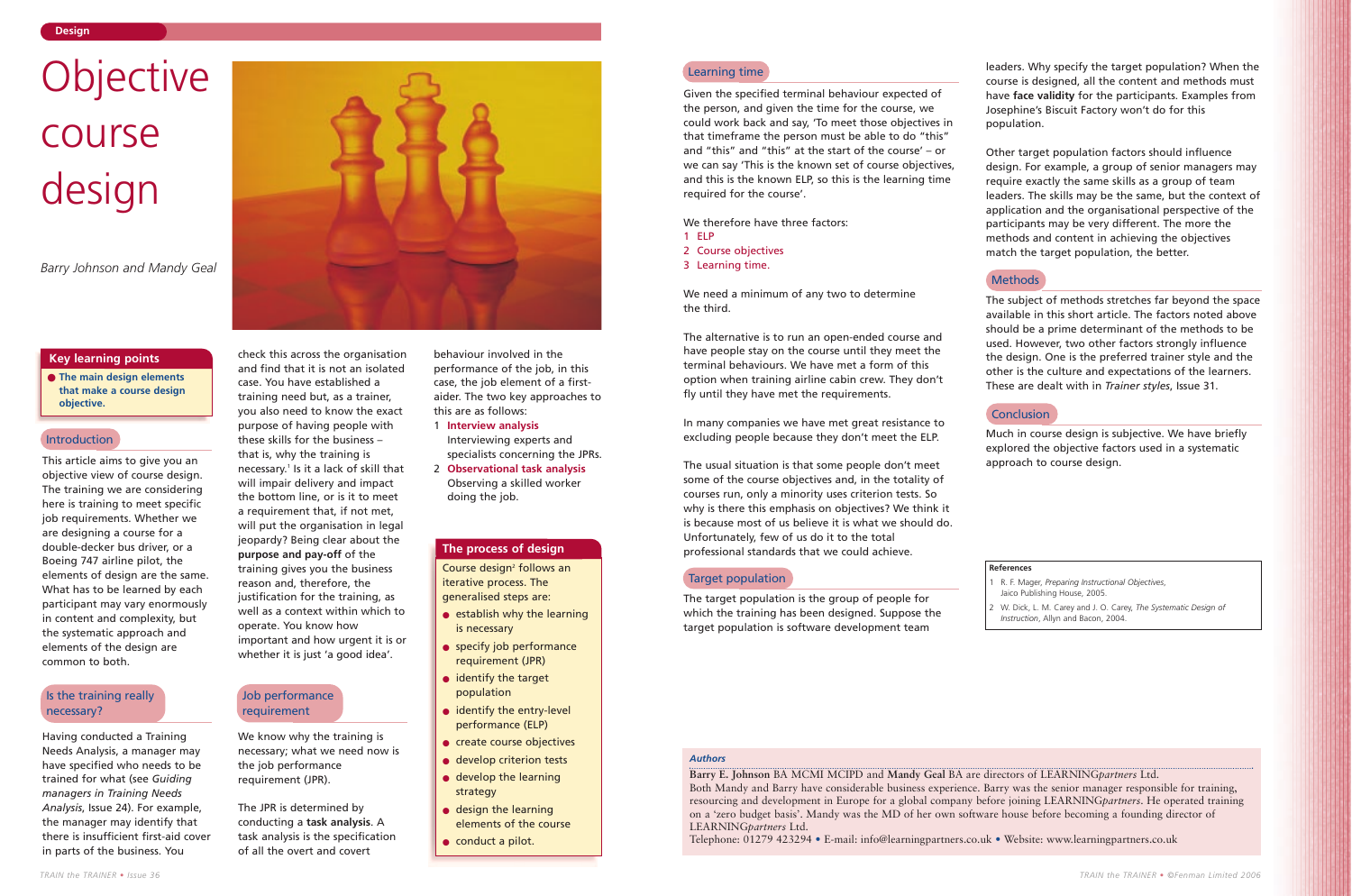This article aims to give you an objective view of course design. The training we are considering here is training to meet specific job requirements. Whether we are designing a course for a double-decker bus driver, or a Boeing 747 airline pilot, the elements of design are the same. What has to be learned by each participant may vary enormously in content and complexity, but the systematic approach and elements of the design are common to both.

Having conducted a Training Needs Analysis, a manager may have specified who needs to be trained for what (see *Guiding managers in Training Needs Analysis*, Issue 24). For example, the manager may identify that there is insufficient first-aid cover in parts of the business. You



check this across the organisation and find that it is not an isolated case. You have established a training need but, as a trainer, you also need to know the exact purpose of having people with these skills for the business – that is, why the training is necessary.<sup>1</sup> Is it a lack of skill that will impair delivery and impact the bottom line, or is it to meet a requirement that, if not met, will put the organisation in legal jeopardy? Being clear about the **purpose and pay-off** of the training gives you the business reason and, therefore, the justification for the training, as well as a context within which to

operate. You know how

important and how urgent it is or whether it is just 'a good idea'.

We know why the training is necessary; what we need now is

the job performance requirement (JPR).

The JPR is determined by conducting a **task analysis**. A task analysis is the specification of all the overt and covert

behaviour involved in the performance of the job, in this case, the job element of a firstaider. The two key approaches to this are as follows:

- 1 **Interview analysis** Interviewing experts and specialists concerning the JPRs.
- 2 **Observational task analysis** Observing a skilled worker doing the job.

#### **Design**

● **The main design elements that make a course design objective.**

# **Key learning points**

# *Authors*

**Barry E. Johnson** BA MCMI MCIPD and **Mandy Geal** BA are directors of LEARNING*partners* Ltd. Both Mandy and Barry have considerable business experience. Barry was the senior manager responsible for training, resourcing and development in Europe for a global company before joining LEARNING*partners*. He operated training on a 'zero budget basis'. Mandy was the MD of her own software house before becoming a founding director of LEARNING*partners* Ltd.

Telephone: 01279 423294 • E-mail: info@learningpartners.co.uk • Website: www.learningpartners.co.uk

Course design<sup>2</sup> follows an iterative process. The generalised steps are:

- establish why the learning is necessary
- specify job performance requirement (JPR)
- identify the target population
- identify the entry-level performance (ELP)
- create course objectives
- develop criterion tests
- develop the learning strategy
- design the learning elements of the course
- conduct a pilot.

# Objective course design

*Barry Johnson and Mandy Geal*

Given the specified terminal behaviour expected of the person, and given the time for the course, we could work back and say, 'To meet those objectives in that timeframe the person must be able to do "this" and "this" and "this" at the start of the course' – or we can say 'This is the known set of course objectives, and this is the known ELP, so this is the learning time required for the course'.

We therefore have three factors:

- 1 ELP
- 2 Course objectives
- 3 Learning time.

We need a minimum of any two to determine the third.

The alternative is to run an open-ended course and have people stay on the course until they meet the terminal behaviours. We have met a form of this option when training airline cabin crew. They don't fly until they have met the requirements.

In many companies we have met great resistance to excluding people because they don't meet the ELP.

The usual situation is that some people don't meet some of the course objectives and, in the totality of courses run, only a minority uses criterion tests. So why is there this emphasis on objectives? We think it is because most of us believe it is what we should do. Unfortunately, few of us do it to the total professional standards that we could achieve.

#### The target population is the group of people for which the training has been designed. Suppose the target population is software development team

leaders. Why specify the target population? When the course is designed, all the content and methods must have **face validity** for the participants. Examples from Josephine's Biscuit Factory won't do for this

population.

Other target population factors should influence desian. For example, a group of senior managers may require exactly the same skills as a group of team leaders. The skills may be the same, but the context of application and the organisational perspective of the participants may be very different. The more the methods and content in achieving the objectives match the target population, the better.

# **Methods**

The subject of methods stretches far beyond the space available in this short article. The factors noted above should be a prime determinant of the methods to be used. However, two other factors strongly influence the design. One is the preferred trainer style and the other is the culture and expectations of the learners. These are dealt with in *Trainer styles*, Issue 31.

# **Conclusion**

Much in course design is subjective. We have briefly explored the objective factors used in a systematic approach to course design.

# **The process of design**

#### Introduction

# Is the training really necessary?

Job performance requirement

# Learning time

### Target population

# **References**

Jaico Publishing House, 2005.

1 R. F. Mager, *Preparing Instructional Objectives*, 2 W. Dick, L. M. Carey and J. O. Carey, *The Systematic Design of Instruction*, Allyn and Bacon, 2004.